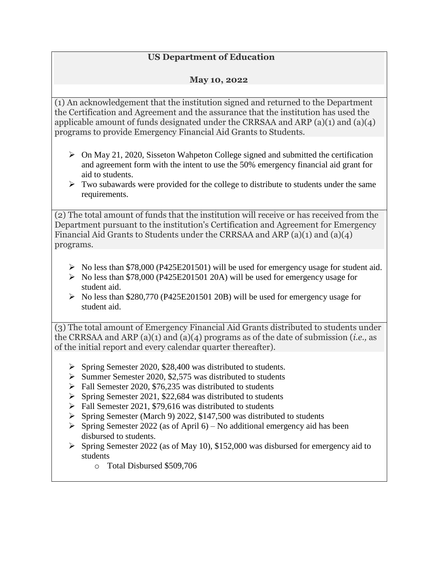## **US Department of Education**

## **May 10, 2022**

(1) An acknowledgement that the institution signed and returned to the Department the Certification and Agreement and the assurance that the institution has used the applicable amount of funds designated under the CRRSAA and ARP (a)(1) and (a)(4) programs to provide Emergency Financial Aid Grants to Students.

- $\triangleright$  On May 21, 2020, Sisseton Wahpeton College signed and submitted the certification and agreement form with the intent to use the 50% emergency financial aid grant for aid to students.
- $\triangleright$  Two subawards were provided for the college to distribute to students under the same requirements.

(2) The total amount of funds that the institution will receive or has received from the Department pursuant to the institution's Certification and Agreement for Emergency Financial Aid Grants to Students under the CRRSAA and ARP (a)(1) and (a)(4) programs.

- $\triangleright$  No less than \$78,000 (P425E201501) will be used for emergency usage for student aid.
- $\triangleright$  No less than \$78,000 (P425E201501 20A) will be used for emergency usage for student aid.
- $\triangleright$  No less than \$280,770 (P425E201501 20B) will be used for emergency usage for student aid.

(3) The total amount of Emergency Financial Aid Grants distributed to students under the CRRSAA and ARP (a)(1) and (a)(4) programs as of the date of submission (*i.e.,* as of the initial report and every calendar quarter thereafter).

- $\triangleright$  Spring Semester 2020, \$28,400 was distributed to students.
- $\triangleright$  Summer Semester 2020, \$2,575 was distributed to students
- $\triangleright$  Fall Semester 2020, \$76,235 was distributed to students
- $\triangleright$  Spring Semester 2021, \$22,684 was distributed to students
- $\triangleright$  Fall Semester 2021, \$79,616 was distributed to students
- $\triangleright$  Spring Semester (March 9) 2022, \$147,500 was distributed to students
- $\triangleright$  Spring Semester 2022 (as of April 6) No additional emergency aid has been disbursed to students.
- $\triangleright$  Spring Semester 2022 (as of May 10), \$152,000 was disbursed for emergency aid to students
	- o Total Disbursed \$509,706